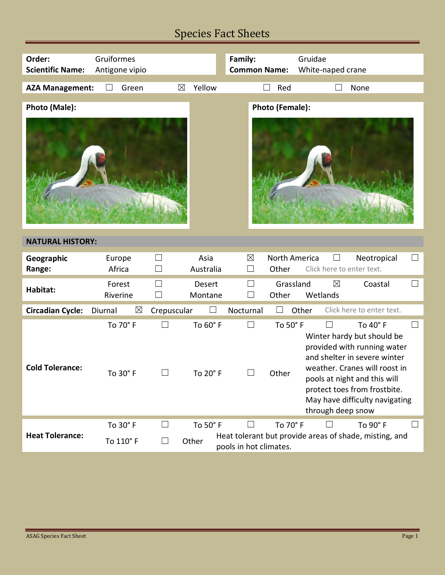# Species Fact Sheets

| Order:<br><b>Scientific Name:</b> | Gruiformes<br>Antigone vipio |                  |                      | Family:<br><b>Common Name:</b>   |                        | Gruidae<br>White-naped crane           |                                                                                                                                                                                                                                          |        |
|-----------------------------------|------------------------------|------------------|----------------------|----------------------------------|------------------------|----------------------------------------|------------------------------------------------------------------------------------------------------------------------------------------------------------------------------------------------------------------------------------------|--------|
| <b>AZA Management:</b>            | Green<br>$\Box$              | $\boxtimes$      | Yellow               | $\Box$                           | Red                    |                                        | None                                                                                                                                                                                                                                     |        |
| Photo (Male):                     |                              |                  |                      |                                  | <b>Photo (Female):</b> |                                        |                                                                                                                                                                                                                                          |        |
|                                   |                              |                  |                      |                                  |                        |                                        |                                                                                                                                                                                                                                          |        |
| <b>NATURAL HISTORY:</b>           |                              |                  |                      |                                  |                        |                                        |                                                                                                                                                                                                                                          |        |
| Geographic<br>Range:              | Europe<br>Africa             | $\Box$<br>$\Box$ | Asia<br>Australia    | $\boxtimes$<br>$\vert \ \ \vert$ | North America<br>Other | Click here to enter text.              | Neotropical                                                                                                                                                                                                                              | $\Box$ |
| Habitat:                          | Forest<br>Riverine           | $\Box$<br>$\Box$ | Desert<br>Montane    |                                  | Grassland<br>Other     | $\boxtimes$<br>Wetlands                | Coastal                                                                                                                                                                                                                                  | $\Box$ |
| <b>Circadian Cycle:</b>           | $\boxtimes$<br>Diurnal       | Crepuscular      |                      | Nocturnal                        | Other                  |                                        | Click here to enter text.                                                                                                                                                                                                                |        |
| <b>Cold Tolerance:</b>            | To 70° F<br>To $30^\circ$ F  | $\Box$           | To 60° F<br>To 20° F | $\Box$                           | To 50° F<br>Other      | $\vert \ \ \vert$<br>through deep snow | To 40° F<br>Winter hardy but should be<br>provided with running water<br>and shelter in severe winter<br>weather. Cranes will roost in<br>pools at night and this will<br>protect toes from frostbite.<br>May have difficulty navigating | $\Box$ |
| <b>Heat Tolerance:</b>            | To 30° F<br>To 110° F        |                  | To 50° F<br>Other    | pools in hot climates.           | To 70° F               |                                        | To 90° F<br>Heat tolerant but provide areas of shade, misting, and                                                                                                                                                                       | ப      |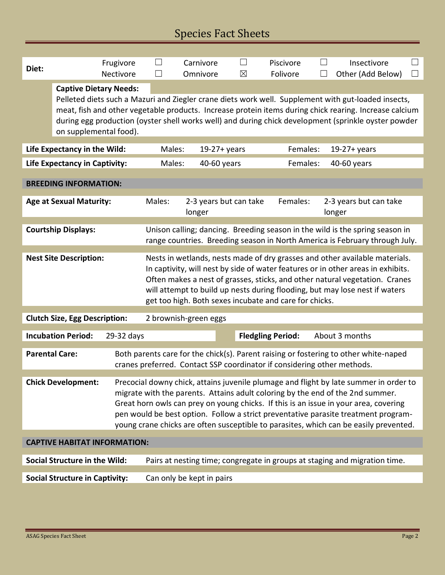| Diet:                                                              |                                                                                                                                                                        | Frugivore  | $\vert \ \ \vert$                                                                                                                                               | Carnivore             | $\vert \ \ \vert$      | Piscivore                                              | $\vert \ \ \vert$       | Insectivore                                                                                            | Ш |  |  |
|--------------------------------------------------------------------|------------------------------------------------------------------------------------------------------------------------------------------------------------------------|------------|-----------------------------------------------------------------------------------------------------------------------------------------------------------------|-----------------------|------------------------|--------------------------------------------------------|-------------------------|--------------------------------------------------------------------------------------------------------|---|--|--|
|                                                                    |                                                                                                                                                                        | Nectivore  | $\mathsf{L}$                                                                                                                                                    | Omnivore              | $\boxtimes$            | Folivore                                               |                         | Other (Add Below)                                                                                      |   |  |  |
|                                                                    | <b>Captive Dietary Needs:</b>                                                                                                                                          |            |                                                                                                                                                                 |                       |                        |                                                        |                         |                                                                                                        |   |  |  |
|                                                                    |                                                                                                                                                                        |            |                                                                                                                                                                 |                       |                        |                                                        |                         | Pelleted diets such a Mazuri and Ziegler crane diets work well. Supplement with gut-loaded insects,    |   |  |  |
|                                                                    |                                                                                                                                                                        |            |                                                                                                                                                                 |                       |                        |                                                        |                         | meat, fish and other vegetable products. Increase protein items during chick rearing. Increase calcium |   |  |  |
|                                                                    | on supplemental food).                                                                                                                                                 |            |                                                                                                                                                                 |                       |                        |                                                        |                         | during egg production (oyster shell works well) and during chick development (sprinkle oyster powder   |   |  |  |
|                                                                    |                                                                                                                                                                        |            |                                                                                                                                                                 |                       |                        |                                                        |                         |                                                                                                        |   |  |  |
|                                                                    | Life Expectancy in the Wild:                                                                                                                                           |            | Males:                                                                                                                                                          |                       | $19-27+ years$         | Females:                                               |                         | $19-27+ years$                                                                                         |   |  |  |
|                                                                    | <b>Life Expectancy in Captivity:</b>                                                                                                                                   |            |                                                                                                                                                                 | Males:<br>40-60 years |                        |                                                        | Females:<br>40-60 years |                                                                                                        |   |  |  |
|                                                                    |                                                                                                                                                                        |            |                                                                                                                                                                 |                       |                        |                                                        |                         |                                                                                                        |   |  |  |
|                                                                    | <b>BREEDING INFORMATION:</b>                                                                                                                                           |            |                                                                                                                                                                 |                       |                        |                                                        |                         |                                                                                                        |   |  |  |
|                                                                    | <b>Age at Sexual Maturity:</b>                                                                                                                                         |            | Males:                                                                                                                                                          |                       | 2-3 years but can take | Females:                                               |                         | 2-3 years but can take                                                                                 |   |  |  |
|                                                                    |                                                                                                                                                                        |            |                                                                                                                                                                 | longer                |                        |                                                        |                         | longer                                                                                                 |   |  |  |
|                                                                    | <b>Courtship Displays:</b>                                                                                                                                             |            |                                                                                                                                                                 |                       |                        |                                                        |                         | Unison calling; dancing. Breeding season in the wild is the spring season in                           |   |  |  |
|                                                                    |                                                                                                                                                                        |            |                                                                                                                                                                 |                       |                        |                                                        |                         | range countries. Breeding season in North America is February through July.                            |   |  |  |
|                                                                    |                                                                                                                                                                        |            |                                                                                                                                                                 |                       |                        |                                                        |                         |                                                                                                        |   |  |  |
|                                                                    | <b>Nest Site Description:</b>                                                                                                                                          |            |                                                                                                                                                                 |                       |                        |                                                        |                         | Nests in wetlands, nests made of dry grasses and other available materials.                            |   |  |  |
|                                                                    |                                                                                                                                                                        |            | In captivity, will nest by side of water features or in other areas in exhibits.<br>Often makes a nest of grasses, sticks, and other natural vegetation. Cranes |                       |                        |                                                        |                         |                                                                                                        |   |  |  |
|                                                                    |                                                                                                                                                                        |            | will attempt to build up nests during flooding, but may lose nest if waters                                                                                     |                       |                        |                                                        |                         |                                                                                                        |   |  |  |
|                                                                    |                                                                                                                                                                        |            |                                                                                                                                                                 |                       |                        | get too high. Both sexes incubate and care for chicks. |                         |                                                                                                        |   |  |  |
|                                                                    |                                                                                                                                                                        |            | 2 brownish-green eggs                                                                                                                                           |                       |                        |                                                        |                         |                                                                                                        |   |  |  |
|                                                                    | <b>Clutch Size, Egg Description:</b>                                                                                                                                   |            |                                                                                                                                                                 |                       |                        |                                                        |                         |                                                                                                        |   |  |  |
|                                                                    | <b>Incubation Period:</b>                                                                                                                                              | 29-32 days |                                                                                                                                                                 |                       |                        | <b>Fledgling Period:</b>                               |                         | About 3 months                                                                                         |   |  |  |
| <b>Parental Care:</b>                                              |                                                                                                                                                                        |            |                                                                                                                                                                 |                       |                        |                                                        |                         |                                                                                                        |   |  |  |
|                                                                    | Both parents care for the chick(s). Parent raising or fostering to other white-naped<br>cranes preferred. Contact SSP coordinator if considering other methods.        |            |                                                                                                                                                                 |                       |                        |                                                        |                         |                                                                                                        |   |  |  |
|                                                                    |                                                                                                                                                                        |            |                                                                                                                                                                 |                       |                        |                                                        |                         |                                                                                                        |   |  |  |
|                                                                    | <b>Chick Development:</b><br>Precocial downy chick, attains juvenile plumage and flight by late summer in order to                                                     |            |                                                                                                                                                                 |                       |                        |                                                        |                         |                                                                                                        |   |  |  |
|                                                                    | migrate with the parents. Attains adult coloring by the end of the 2nd summer.<br>Great horn owls can prey on young chicks. If this is an issue in your area, covering |            |                                                                                                                                                                 |                       |                        |                                                        |                         |                                                                                                        |   |  |  |
|                                                                    | pen would be best option. Follow a strict preventative parasite treatment program-                                                                                     |            |                                                                                                                                                                 |                       |                        |                                                        |                         |                                                                                                        |   |  |  |
|                                                                    | young crane chicks are often susceptible to parasites, which can be easily prevented.                                                                                  |            |                                                                                                                                                                 |                       |                        |                                                        |                         |                                                                                                        |   |  |  |
| <b>CAPTIVE HABITAT INFORMATION:</b>                                |                                                                                                                                                                        |            |                                                                                                                                                                 |                       |                        |                                                        |                         |                                                                                                        |   |  |  |
|                                                                    |                                                                                                                                                                        |            |                                                                                                                                                                 |                       |                        |                                                        |                         |                                                                                                        |   |  |  |
| <b>Social Structure in the Wild:</b>                               |                                                                                                                                                                        |            | Pairs at nesting time; congregate in groups at staging and migration time.                                                                                      |                       |                        |                                                        |                         |                                                                                                        |   |  |  |
| <b>Social Structure in Captivity:</b><br>Can only be kept in pairs |                                                                                                                                                                        |            |                                                                                                                                                                 |                       |                        |                                                        |                         |                                                                                                        |   |  |  |
|                                                                    |                                                                                                                                                                        |            |                                                                                                                                                                 |                       |                        |                                                        |                         |                                                                                                        |   |  |  |

Г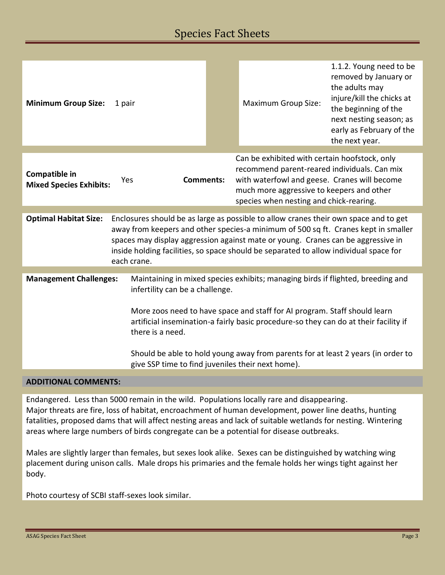## Species Fact Sheets

| <b>Minimum Group Size:</b>                                                                                                                                                                                                                                                                                                                                                                                                                                                            | 1 pair                                                                                                                                                                                                                                                                                                                                                                 |  | <b>Maximum Group Size:</b>                                                                                                                                                                                                            | 1.1.2. Young need to be<br>removed by January or<br>the adults may<br>injure/kill the chicks at<br>the beginning of the<br>next nesting season; as<br>early as February of the<br>the next year. |  |  |
|---------------------------------------------------------------------------------------------------------------------------------------------------------------------------------------------------------------------------------------------------------------------------------------------------------------------------------------------------------------------------------------------------------------------------------------------------------------------------------------|------------------------------------------------------------------------------------------------------------------------------------------------------------------------------------------------------------------------------------------------------------------------------------------------------------------------------------------------------------------------|--|---------------------------------------------------------------------------------------------------------------------------------------------------------------------------------------------------------------------------------------|--------------------------------------------------------------------------------------------------------------------------------------------------------------------------------------------------|--|--|
| Compatible in<br><b>Mixed Species Exhibits:</b>                                                                                                                                                                                                                                                                                                                                                                                                                                       | <b>Comments:</b><br>Yes                                                                                                                                                                                                                                                                                                                                                |  | Can be exhibited with certain hoofstock, only<br>recommend parent-reared individuals. Can mix<br>with waterfowl and geese. Cranes will become<br>much more aggressive to keepers and other<br>species when nesting and chick-rearing. |                                                                                                                                                                                                  |  |  |
|                                                                                                                                                                                                                                                                                                                                                                                                                                                                                       |                                                                                                                                                                                                                                                                                                                                                                        |  |                                                                                                                                                                                                                                       |                                                                                                                                                                                                  |  |  |
| <b>Optimal Habitat Size:</b>                                                                                                                                                                                                                                                                                                                                                                                                                                                          | Enclosures should be as large as possible to allow cranes their own space and to get<br>away from keepers and other species-a minimum of 500 sq ft. Cranes kept in smaller<br>spaces may display aggression against mate or young. Cranes can be aggressive in<br>inside holding facilities, so space should be separated to allow individual space for<br>each crane. |  |                                                                                                                                                                                                                                       |                                                                                                                                                                                                  |  |  |
|                                                                                                                                                                                                                                                                                                                                                                                                                                                                                       |                                                                                                                                                                                                                                                                                                                                                                        |  |                                                                                                                                                                                                                                       |                                                                                                                                                                                                  |  |  |
| <b>Management Challenges:</b><br>Maintaining in mixed species exhibits; managing birds if flighted, breeding and<br>infertility can be a challenge.<br>More zoos need to have space and staff for AI program. Staff should learn<br>artificial insemination-a fairly basic procedure-so they can do at their facility if<br>there is a need.<br>Should be able to hold young away from parents for at least 2 years (in order to<br>give SSP time to find juveniles their next home). |                                                                                                                                                                                                                                                                                                                                                                        |  |                                                                                                                                                                                                                                       |                                                                                                                                                                                                  |  |  |
|                                                                                                                                                                                                                                                                                                                                                                                                                                                                                       |                                                                                                                                                                                                                                                                                                                                                                        |  |                                                                                                                                                                                                                                       |                                                                                                                                                                                                  |  |  |

### **ADDITIONAL COMMENTS:**

Endangered. Less than 5000 remain in the wild. Populations locally rare and disappearing. Major threats are fire, loss of habitat, encroachment of human development, power line deaths, hunting fatalities, proposed dams that will affect nesting areas and lack of suitable wetlands for nesting. Wintering areas where large numbers of birds congregate can be a potential for disease outbreaks.

Males are slightly larger than females, but sexes look alike. Sexes can be distinguished by watching wing placement during unison calls. Male drops his primaries and the female holds her wings tight against her body.

Photo courtesy of SCBI staff-sexes look similar.